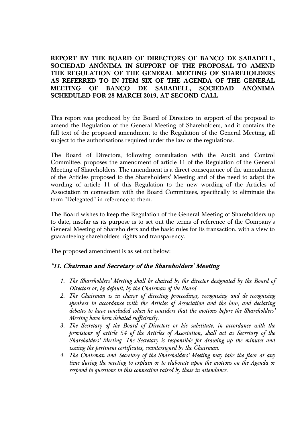**REPORT BY THE BOARD OF DIRECTORS OF BANCO DE SABADELL, SOCIEDAD ANÓNIMA IN SUPPORT OF THE PROPOSAL TO AMEND THE REGULATION OF THE GENERAL MEETING OF SHAREHOLDERS AS REFERRED TO IN ITEM SIX OF THE AGENDA OF THE GENERAL MEETING OF BANCO DE SABADELL, SOCIEDAD ANÓNIMA SCHEDULED FOR 28 MARCH 2019, AT SECOND CALL**

This report was produced by the Board of Directors in support of the proposal to amend the Regulation of the General Meeting of Shareholders, and it contains the full text of the proposed amendment to the Regulation of the General Meeting, all subject to the authorisations required under the law or the regulations.

The Board of Directors, following consultation with the Audit and Control Committee, proposes the amendment of article 11 of the Regulation of the General Meeting of Shareholders. The amendment is a direct consequence of the amendment of the Articles proposed to the Shareholders' Meeting and of the need to adapt the wording of article 11 of this Regulation to the new wording of the Articles of Association in connection with the Board Committees, specifically to eliminate the term "Delegated" in reference to them.

The Board wishes to keep the Regulation of the General Meeting of Shareholders up to date, insofar as its purpose is to set out the terms of reference of the Company's General Meeting of Shareholders and the basic rules for its transaction, with a view to guaranteeing shareholders' rights and transparency.

The proposed amendment is as set out below:

## **"11. Chairman and Secretary of the Shareholders' Meeting**

- *1. The Shareholders' Meeting shall be chaired by the director designated by the Board of Directors or, by default, by the Chairman of the Board.*
- *2. The Chairman is in charge of directing proceedings, recognising and de-recognising speakers in accordance with the Articles of Association and the law, and declaring debates to have concluded when he considers that the motions before the Shareholders' Meeting have been debated sufficiently.*
- *3. The Secretary of the Board of Directors or his substitute, in accordance with the provisions of article 54 of the Articles of Association, shall act as Secretary of the Shareholders' Meeting. The Secretary is responsible for drawing up the minutes and issuing the pertinent certificates, countersigned by the Chairman.*
- *4. The Chairman and Secretary of the Shareholders' Meeting may take the floor at any time during the meeting to explain or to elaborate upon the motions on the Agenda or respond to questions in this connection raised by those in attendance.*